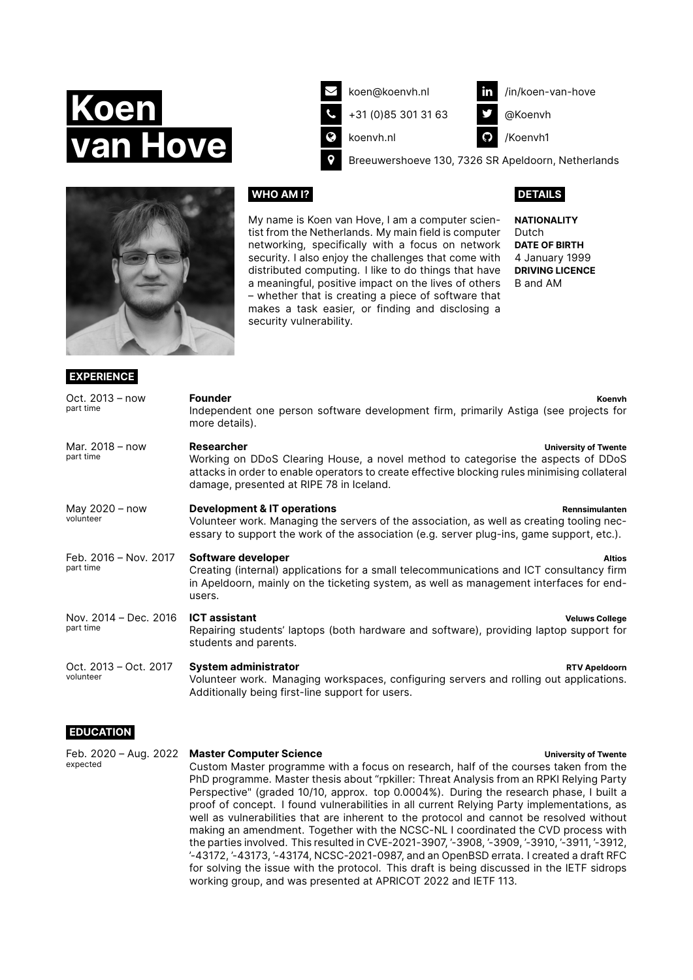



**EXPERIENCE**

[koen@koenvh.nl](mailto:koen@koenvh.nl)

Ó [+31 \(0\)85 301 31 63](tel:+31853013163)

**C** [koenvh.nl](https://koenvh.nl)

in [/in/koen-van-hove](https://www.linkedin.com/in/koen-van-hove)

[@Koenvh](https://twitter.com/@koenvh)

C [/Koenvh1](https://github.com/Koenvh1)

**P** [Breeuwershoeve 130, 7326 SR Apeldoorn, Netherlands](https://www.openstreetmap.org/search?query=Breeuwershoeve 130 7326 SR Apeldoorn)

# **WHO AM I?**

My name is Koen van Hove, I am a computer scientist from the Netherlands. My main field is computer networking, specifically with a focus on network security. I also enjoy the challenges that come with distributed computing. I like to do things that have a meaningful, positive impact on the lives of others – whether that is creating a piece of software that makes a task easier, or finding and disclosing a security vulnerability.

## **DETAILS**

**NATIONALITY** Dutch **DATE OF BIRTH** 4 January 1999 **DRIVING LICENCE** B and AM

| Oct. $2013 - now$<br>part time     | <b>Founder</b><br>Koenvh<br>Independent one person software development firm, primarily Astiga (see projects for<br>more details).                                                                                                                                         |
|------------------------------------|----------------------------------------------------------------------------------------------------------------------------------------------------------------------------------------------------------------------------------------------------------------------------|
| Mar. 2018 - now<br>part time       | Researcher<br><b>University of Twente</b><br>Working on DDoS Clearing House, a novel method to categorise the aspects of DDoS<br>attacks in order to enable operators to create effective blocking rules minimising collateral<br>damage, presented at RIPE 78 in Iceland. |
| May 2020 - now<br>volunteer        | <b>Development &amp; IT operations</b><br>Rennsimulanten<br>Volunteer work. Managing the servers of the association, as well as creating tooling nec-<br>essary to support the work of the association (e.g. server plug-ins, game support, etc.).                         |
| Feb. 2016 - Nov. 2017<br>part time | Software developer<br><b>Altios</b><br>Creating (internal) applications for a small telecommunications and ICT consultancy firm<br>in Apeldoorn, mainly on the ticketing system, as well as management interfaces for end-<br>users.                                       |
| Nov. 2014 - Dec. 2016<br>part time | <b>ICT</b> assistant<br><b>Veluws College</b><br>Repairing students' laptops (both hardware and software), providing laptop support for<br>students and parents.                                                                                                           |
| Oct. 2013 - Oct. 2017<br>volunteer | <b>System administrator</b><br><b>RTV Apeldoorn</b><br>Volunteer work. Managing workspaces, configuring servers and rolling out applications.<br>Additionally being first-line support for users.                                                                          |

# **EDUCATION**

| expected | Feb. 2020 - Aug. 2022 Master Computer Science                                                 | <b>University of Twente</b> |
|----------|-----------------------------------------------------------------------------------------------|-----------------------------|
|          | Custom Master programme with a focus on research, half of the courses taken from the          |                             |
|          | PhD programme. Master thesis about "rpkiller: Threat Analysis from an RPKI Relying Party      |                             |
|          | Perspective" (graded 10/10, approx. top 0.0004%). During the research phase, I built a        |                             |
|          | proof of concept. I found vulnerabilities in all current Relying Party implementations, as    |                             |
|          | well as vulnerabilities that are inherent to the protocol and cannot be resolved without      |                             |
|          | making an amendment. Together with the NCSC-NL I coordinated the CVD process with             |                             |
|          | the parties involved. This resulted in CVE-2021-3907, '-3908, '-3909, '-3910, '-3911, '-3912, |                             |
|          | $-43172, -43173, -43174, NCSC-2021-0987,$ and an OpenBSD errata. I created a draft RFC        |                             |
|          | for solving the issue with the protocol. This draft is being discussed in the IETF sidrops    |                             |

working group, and was presented at APRICOT 2022 and IETF 113.